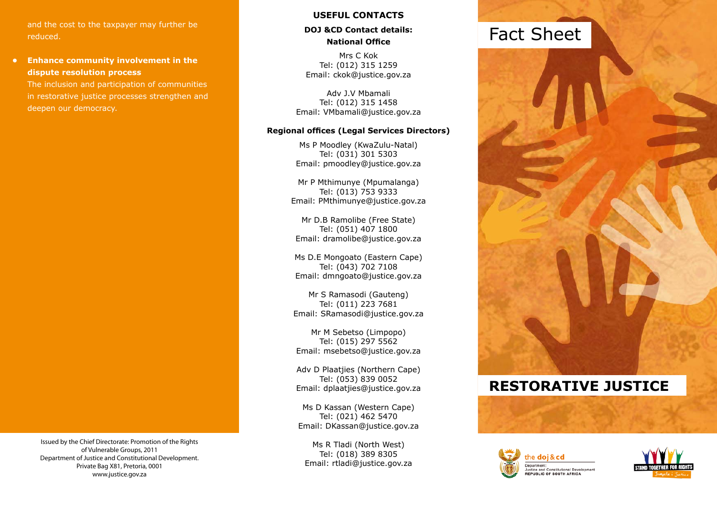and the cost to the taxpayer may further be reduced.

# **• Enhance community involvement in the dispute resolution process**

The inclusion and participation of communities in restorative justice processes strengthen and deepen our democracy.

# **USEFUL CONTACTS**

# **DOJ &CD Contact details: National Office**

Mrs C Kok Tel: (012) 315 1259 Email: ckok@justice.gov.za

Adv J.V Mbamali Tel: (012) 315 1458 Email: VMbamali@justice.gov.za

### **Regional offices (Legal Services Directors)**

Ms P Moodley (KwaZulu-Natal) Tel: (031) 301 5303 Email: pmoodley@justice.gov.za

Mr P Mthimunye (Mpumalanga) Tel: (013) 753 9333 Email: PMthimunye@justice.gov.za

Mr D.B Ramolibe (Free State) Tel: (051) 407 1800 Email: dramolibe@justice.gov.za

Ms D.E Mongoato (Eastern Cape) Tel: (043) 702 7108 Email: dmngoato@justice.gov.za

Mr S Ramasodi (Gauteng) Tel: (011) 223 7681 Email: SRamasodi@justice.gov.za

Mr M Sebetso (Limpopo) Tel: (015) 297 5562 Email: msebetso@justice.gov.za

Adv D Plaatjies (Northern Cape) Tel: (053) 839 0052 Email: dplaatjies@justice.gov.za

Ms D Kassan (Western Cape) Tel: (021) 462 5470 Email: DKassan@justice.gov.za

Ms R Tladi (North West) Tel: (018) 389 8305 Email: rtladi@justice.gov.za

# Fact Sheet



# **Restorative Justice**





Issued by the Chief Directorate: Promotion of the Rights of Vulnerable Groups, 2011 Department of Justice and Constitutional Development. Private Bag X81, Pretoria, 0001 www.justice.gov.za